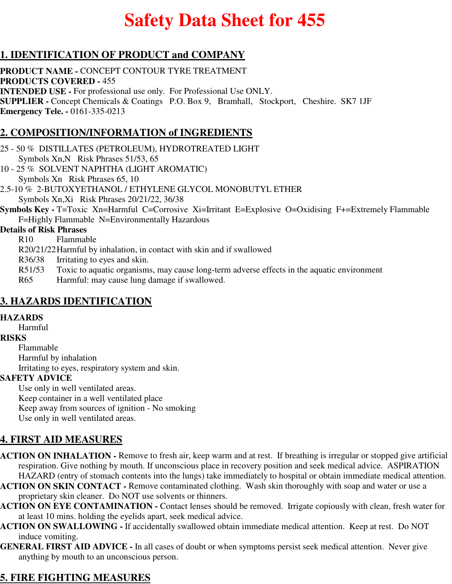# **Safety Data Sheet for 455**

# **1. IDENTIFICATION OF PRODUCT and COMPANY**

**PRODUCT NAME -** CONCEPT CONTOUR TYRE TREATMENT **PRODUCTS COVERED -** 455 **INTENDED USE -** For professional use only. For Professional Use ONLY. **SUPPLIER -** Concept Chemicals & Coatings P.O. Box 9, Bramhall, Stockport, Cheshire. SK7 1JF **Emergency Tele. -** 0161-335-0213

# **2. COMPOSITION/INFORMATION of INGREDIENTS**

- 25 50 % DISTILLATES (PETROLEUM), HYDROTREATED LIGHT Symbols Xn,N Risk Phrases 51/53, 65
- 10 25 % SOLVENT NAPHTHA (LIGHT AROMATIC) Symbols Xn Risk Phrases 65, 10
- 2.5-10 % 2-BUTOXYETHANOL / ETHYLENE GLYCOL MONOBUTYL ETHER Symbols Xn,Xi Risk Phrases 20/21/22, 36/38
- **Symbols Key T=Toxic Xn=Harmful C=Corrosive Xi=Irritant E=Explosive O=Oxidising F+=Extremely Flammable** F=Highly Flammable N=Environmentally Hazardous

#### **Details of Risk Phrases**

- R10 Flammable
- R20/21/22Harmful by inhalation, in contact with skin and if swallowed
- R36/38 Irritating to eyes and skin.
- R51/53 Toxic to aquatic organisms, may cause long-term adverse effects in the aquatic environment
- R65 Harmful: may cause lung damage if swallowed.

# **3. HAZARDS IDENTIFICATION**

#### **HAZARDS**

#### Harmful

# **RISKS**

Flammable Harmful by inhalation Irritating to eyes, respiratory system and skin.

#### **SAFETY ADVICE**

Use only in well ventilated areas. Keep container in a well ventilated place Keep away from sources of ignition - No smoking Use only in well ventilated areas.

# **4. FIRST AID MEASURES**

- **ACTION ON INHALATION** Remove to fresh air, keep warm and at rest. If breathing is irregular or stopped give artificial respiration. Give nothing by mouth. If unconscious place in recovery position and seek medical advice. ASPIRATION HAZARD (entry of stomach contents into the lungs) take immediately to hospital or obtain immediate medical attention.
- **ACTION ON SKIN CONTACT** Remove contaminated clothing. Wash skin thoroughly with soap and water or use a proprietary skin cleaner. Do NOT use solvents or thinners.
- **ACTION ON EYE CONTAMINATION** Contact lenses should be removed. Irrigate copiously with clean, fresh water for at least 10 mins. holding the eyelids apart, seek medical advice.
- **ACTION ON SWALLOWING** If accidentally swallowed obtain immediate medical attention. Keep at rest. Do NOT induce vomiting.
- **GENERAL FIRST AID ADVICE** In all cases of doubt or when symptoms persist seek medical attention. Never give anything by mouth to an unconscious person.

# **5. FIRE FIGHTING MEASURES**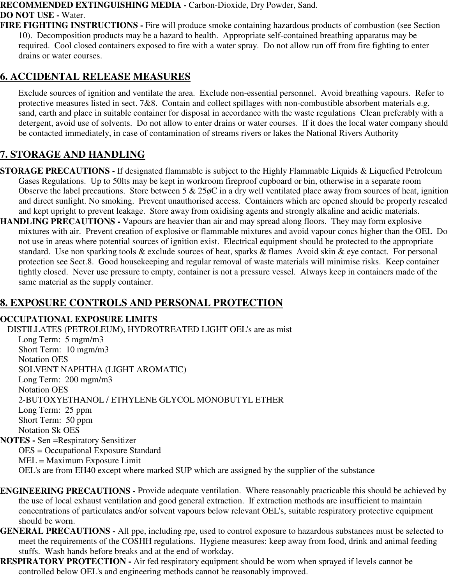#### **RECOMMENDED EXTINGUISHING MEDIA -** Carbon-Dioxide, Dry Powder, Sand. **DO NOT USE -** Water.

**FIRE FIGHTING INSTRUCTIONS -** Fire will produce smoke containing hazardous products of combustion (see Section 10). Decomposition products may be a hazard to health. Appropriate self-contained breathing apparatus may be required. Cool closed containers exposed to fire with a water spray. Do not allow run off from fire fighting to enter drains or water courses.

# **6. ACCIDENTAL RELEASE MEASURES**

Exclude sources of ignition and ventilate the area. Exclude non-essential personnel. Avoid breathing vapours. Refer to protective measures listed in sect. 7&8. Contain and collect spillages with non-combustible absorbent materials e.g. sand, earth and place in suitable container for disposal in accordance with the waste regulations Clean preferably with a detergent, avoid use of solvents. Do not allow to enter drains or water courses. If it does the local water company should be contacted immediately, in case of contamination of streams rivers or lakes the National Rivers Authority

# **7. STORAGE AND HANDLING**

- **STORAGE PRECAUTIONS** If designated flammable is subject to the Highly Flammable Liquids & Liquefied Petroleum Gases Regulations. Up to 50lts may be kept in workroom fireproof cupboard or bin, otherwise in a separate room Observe the label precautions. Store between  $5 \& 25\phi$ C in a dry well ventilated place away from sources of heat, ignition and direct sunlight. No smoking. Prevent unauthorised access. Containers which are opened should be properly resealed and kept upright to prevent leakage. Store away from oxidising agents and strongly alkaline and acidic materials.
- **HANDLING PRECAUTIONS** Vapours are heavier than air and may spread along floors. They may form explosive mixtures with air. Prevent creation of explosive or flammable mixtures and avoid vapour concs higher than the OEL Do not use in areas where potential sources of ignition exist. Electrical equipment should be protected to the appropriate standard. Use non sparking tools & exclude sources of heat, sparks & flames Avoid skin & eye contact. For personal protection see Sect.8. Good housekeeping and regular removal of waste materials will minimise risks. Keep container tightly closed. Never use pressure to empty, container is not a pressure vessel. Always keep in containers made of the same material as the supply container.

# **8. EXPOSURE CONTROLS AND PERSONAL PROTECTION**

#### **OCCUPATIONAL EXPOSURE LIMITS**

DISTILLATES (PETROLEUM), HYDROTREATED LIGHT OEL's are as mist Long Term: 5 mgm/m3 Short Term: 10 mgm/m3 Notation OES SOLVENT NAPHTHA (LIGHT AROMATIC) Long Term: 200 mgm/m3 Notation OES 2-BUTOXYETHANOL / ETHYLENE GLYCOL MONOBUTYL ETHER Long Term: 25 ppm Short Term: 50 ppm Notation Sk OES **NOTES -** Sen =Respiratory Sensitizer OES = Occupational Exposure Standard MEL = Maximum Exposure Limit

- OEL's are from EH40 except where marked SUP which are assigned by the supplier of the substance
- **ENGINEERING PRECAUTIONS** Provide adequate ventilation. Where reasonably practicable this should be achieved by the use of local exhaust ventilation and good general extraction. If extraction methods are insufficient to maintain concentrations of particulates and/or solvent vapours below relevant OEL's, suitable respiratory protective equipment should be worn.
- **GENERAL PRECAUTIONS** All ppe, including rpe, used to control exposure to hazardous substances must be selected to meet the requirements of the COSHH regulations. Hygiene measures: keep away from food, drink and animal feeding stuffs. Wash hands before breaks and at the end of workday.
- **RESPIRATORY PROTECTION** Air fed respiratory equipment should be worn when sprayed if levels cannot be controlled below OEL's and engineering methods cannot be reasonably improved.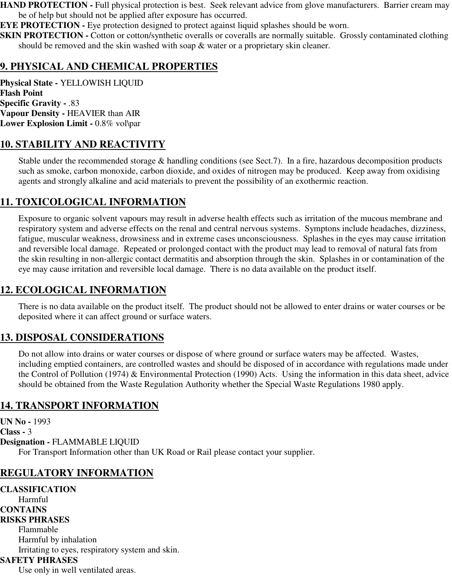**HAND PROTECTION - Full physical protection is best. Seek relevant advice from glove manufacturers. Barrier cream may** be of help but should not be applied after exposure has occurred.

**EYE PROTECTION -** Eye protection designed to protect against liquid splashes should be worn.

**SKIN PROTECTION -** Cotton or cotton/synthetic overalls or coveralls are normally suitable. Grossly contaminated clothing should be removed and the skin washed with soap & water or a proprietary skin cleaner.

## **9. PHYSICAL AND CHEMICAL PROPERTIES**

**Physical State -** YELLOWISH LIQUID **Flash Point Specific Gravity -** .83 **Vapour Density -** HEAVIER than AIR **Lower Explosion Limit -** 0.8% vol\par

#### **10. STABILITY AND REACTIVITY**

Stable under the recommended storage & handling conditions (see Sect.7). In a fire, hazardous decomposition products such as smoke, carbon monoxide, carbon dioxide, and oxides of nitrogen may be produced. Keep away from oxidising agents and strongly alkaline and acid materials to prevent the possibility of an exothermic reaction.

## **11. TOXICOLOGICAL INFORMATION**

Exposure to organic solvent vapours may result in adverse health effects such as irritation of the mucous membrane and respiratory system and adverse effects on the renal and central nervous systems. Symptons include headaches, dizziness, fatigue, muscular weakness, drowsiness and in extreme cases unconsciousness. Splashes in the eyes may cause irritation and reversible local damage. Repeated or prolonged contact with the product may lead to removal of natural fats from the skin resulting in non-allergic contact dermatitis and absorption through the skin. Splashes in or contamination of the eye may cause irritation and reversible local damage. There is no data available on the product itself.

## **12. ECOLOGICAL INFORMATION**

There is no data available on the product itself. The product should not be allowed to enter drains or water courses or be deposited where it can affect ground or surface waters.

# **13. DISPOSAL CONSIDERATIONS**

Do not allow into drains or water courses or dispose of where ground or surface waters may be affected. Wastes, including emptied containers, are controlled wastes and should be disposed of in accordance with regulations made under the Control of Pollution (1974) & Environmental Protection (1990) Acts. Using the information in this data sheet, advice should be obtained from the Waste Regulation Authority whether the Special Waste Regulations 1980 apply.

## **14. TRANSPORT INFORMATION**

**UN No -** 1993 **Class -** 3 **Designation -** FLAMMABLE LIQUID For Transport Information other than UK Road or Rail please contact your supplier.

# **REGULATORY INFORMATION**

**CLASSIFICATION** Harmful **CONTAINS RISKS PHRASES** Flammable Harmful by inhalation Irritating to eyes, respiratory system and skin. **SAFETY PHRASES** Use only in well ventilated areas.